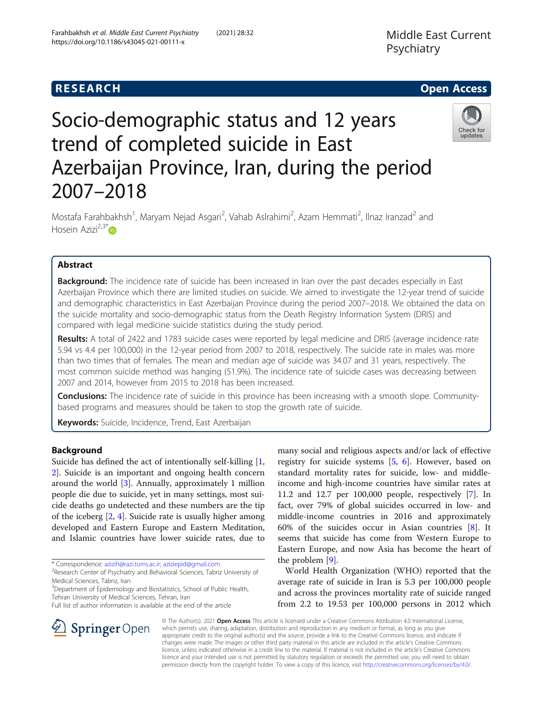Check for updates

# Socio-demographic status and 12 years trend of completed suicide in East Azerbaijan Province, Iran, during the period 2007–2018

Mostafa Farahbakhsh<sup>1</sup>, Maryam Nejad Asgari<sup>2</sup>, Vahab Aslrahimi<sup>2</sup>, Azam Hemmati<sup>2</sup>, Ilnaz Iranzad<sup>2</sup> and Hosein Azizi $^{2,3^*}$ D

# Abstract

Background: The incidence rate of suicide has been increased in Iran over the past decades especially in East Azerbaijan Province which there are limited studies on suicide. We aimed to investigate the 12-year trend of suicide and demographic characteristics in East Azerbaijan Province during the period 2007–2018. We obtained the data on the suicide mortality and socio-demographic status from the Death Registry Information System (DRIS) and compared with legal medicine suicide statistics during the study period.

Results: A total of 2422 and 1783 suicide cases were reported by legal medicine and DRIS (average incidence rate 5.94 vs 4.4 per 100,000) in the 12-year period from 2007 to 2018, respectively. The suicide rate in males was more than two times that of females. The mean and median age of suicide was 34.07 and 31 years, respectively. The most common suicide method was hanging (51.9%). The incidence rate of suicide cases was decreasing between 2007 and 2014, however from 2015 to 2018 has been increased.

Conclusions: The incidence rate of suicide in this province has been increasing with a smooth slope. Communitybased programs and measures should be taken to stop the growth rate of suicide.

Keywords: Suicide, Incidence, Trend, East Azerbaijan

# Background

Suicide has defined the act of intentionally self-killing [\[1](#page-5-0), [2\]](#page-5-0). Suicide is an important and ongoing health concern around the world [[3](#page-5-0)]. Annually, approximately 1 million people die due to suicide, yet in many settings, most suicide deaths go undetected and these numbers are the tip of the iceberg [[2,](#page-5-0) [4\]](#page-5-0). Suicide rate is usually higher among developed and Eastern Europe and Eastern Meditation, and Islamic countries have lower suicide rates, due to

\* Correspondence: [azizih@razi.tums.ac.ir;](mailto:azizih@razi.tums.ac.ir) [aziziepid@gmail.com](mailto:aziziepid@gmail.com) <sup>2</sup>

Medical Sciences, Tabriz, Iran

<sup>3</sup>Department of Epidemiology and Biostatistics, School of Public Health, Tehran University of Medical Sciences, Tehran, Iran



World Health Organization (WHO) reported that the average rate of suicide in Iran is 5.3 per 100,000 people and across the provinces mortality rate of suicide ranged from 2.2 to 19.53 per 100,000 persons in 2012 which

© The Author(s). 2021 Open Access This article is licensed under a Creative Commons Attribution 4.0 International License, which permits use, sharing, adaptation, distribution and reproduction in any medium or format, as long as you give appropriate credit to the original author(s) and the source, provide a link to the Creative Commons licence, and indicate if changes were made. The images or other third party material in this article are included in the article's Creative Commons licence, unless indicated otherwise in a credit line to the material. If material is not included in the article's Creative Commons licence and your intended use is not permitted by statutory regulation or exceeds the permitted use, you will need to obtain permission directly from the copyright holder. To view a copy of this licence, visit <http://creativecommons.org/licenses/by/4.0/>.



<sup>&</sup>lt;sup>2</sup> Research Center of Psychiatry and Behavioral Sciences. Tabriz University of

Full list of author information is available at the end of the article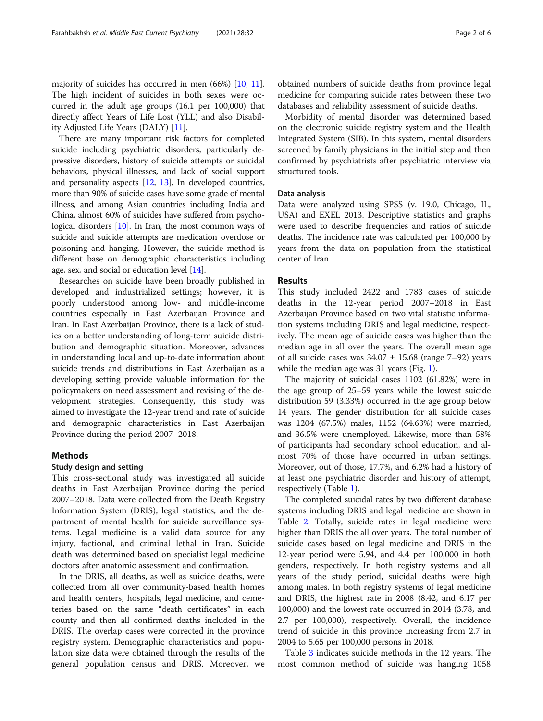majority of suicides has occurred in men (66%) [[10,](#page-5-0) [11](#page-5-0)]. The high incident of suicides in both sexes were occurred in the adult age groups (16.1 per 100,000) that directly affect Years of Life Lost (YLL) and also Disability Adjusted Life Years (DALY) [\[11\]](#page-5-0).

There are many important risk factors for completed suicide including psychiatric disorders, particularly depressive disorders, history of suicide attempts or suicidal behaviors, physical illnesses, and lack of social support and personality aspects [\[12](#page-5-0), [13\]](#page-5-0). In developed countries, more than 90% of suicide cases have some grade of mental illness, and among Asian countries including India and China, almost 60% of suicides have suffered from psychological disorders [\[10\]](#page-5-0). In Iran, the most common ways of suicide and suicide attempts are medication overdose or poisoning and hanging. However, the suicide method is different base on demographic characteristics including age, sex, and social or education level [\[14\]](#page-5-0).

Researches on suicide have been broadly published in developed and industrialized settings; however, it is poorly understood among low- and middle-income countries especially in East Azerbaijan Province and Iran. In East Azerbaijan Province, there is a lack of studies on a better understanding of long-term suicide distribution and demographic situation. Moreover, advances in understanding local and up-to-date information about suicide trends and distributions in East Azerbaijan as a developing setting provide valuable information for the policymakers on need assessment and revising of the development strategies. Consequently, this study was aimed to investigate the 12-year trend and rate of suicide and demographic characteristics in East Azerbaijan Province during the period 2007–2018.

### Methods

# Study design and setting

This cross-sectional study was investigated all suicide deaths in East Azerbaijan Province during the period 2007–2018. Data were collected from the Death Registry Information System (DRIS), legal statistics, and the department of mental health for suicide surveillance systems. Legal medicine is a valid data source for any injury, factional, and criminal lethal in Iran. Suicide death was determined based on specialist legal medicine doctors after anatomic assessment and confirmation.

In the DRIS, all deaths, as well as suicide deaths, were collected from all over community-based health homes and health centers, hospitals, legal medicine, and cemeteries based on the same "death certificates" in each county and then all confirmed deaths included in the DRIS. The overlap cases were corrected in the province registry system. Demographic characteristics and population size data were obtained through the results of the general population census and DRIS. Moreover, we

obtained numbers of suicide deaths from province legal medicine for comparing suicide rates between these two databases and reliability assessment of suicide deaths.

Morbidity of mental disorder was determined based on the electronic suicide registry system and the Health Integrated System (SIB). In this system, mental disorders screened by family physicians in the initial step and then confirmed by psychiatrists after psychiatric interview via structured tools.

# Data analysis

Data were analyzed using SPSS (v. 19.0, Chicago, IL, USA) and EXEL 2013. Descriptive statistics and graphs were used to describe frequencies and ratios of suicide deaths. The incidence rate was calculated per 100,000 by years from the data on population from the statistical center of Iran.

# Results

This study included 2422 and 1783 cases of suicide deaths in the 12-year period 2007–2018 in East Azerbaijan Province based on two vital statistic information systems including DRIS and legal medicine, respectively. The mean age of suicide cases was higher than the median age in all over the years. The overall mean age of all suicide cases was  $34.07 \pm 15.68$  (range 7–92) years while the median age was 31 years (Fig. [1\)](#page-2-0).

The majority of suicidal cases 1102 (61.82%) were in the age group of 25–59 years while the lowest suicide distribution 59 (3.33%) occurred in the age group below 14 years. The gender distribution for all suicide cases was 1204 (67.5%) males, 1152 (64.63%) were married, and 36.5% were unemployed. Likewise, more than 58% of participants had secondary school education, and almost 70% of those have occurred in urban settings. Moreover, out of those, 17.7%, and 6.2% had a history of at least one psychiatric disorder and history of attempt, respectively (Table [1](#page-3-0)).

The completed suicidal rates by two different database systems including DRIS and legal medicine are shown in Table [2.](#page-4-0) Totally, suicide rates in legal medicine were higher than DRIS the all over years. The total number of suicide cases based on legal medicine and DRIS in the 12-year period were 5.94, and 4.4 per 100,000 in both genders, respectively. In both registry systems and all years of the study period, suicidal deaths were high among males. In both registry systems of legal medicine and DRIS, the highest rate in 2008 (8.42, and 6.17 per 100,000) and the lowest rate occurred in 2014 (3.78, and 2.7 per 100,000), respectively. Overall, the incidence trend of suicide in this province increasing from 2.7 in 2004 to 5.65 per 100,000 persons in 2018.

Table [3](#page-4-0) indicates suicide methods in the 12 years. The most common method of suicide was hanging 1058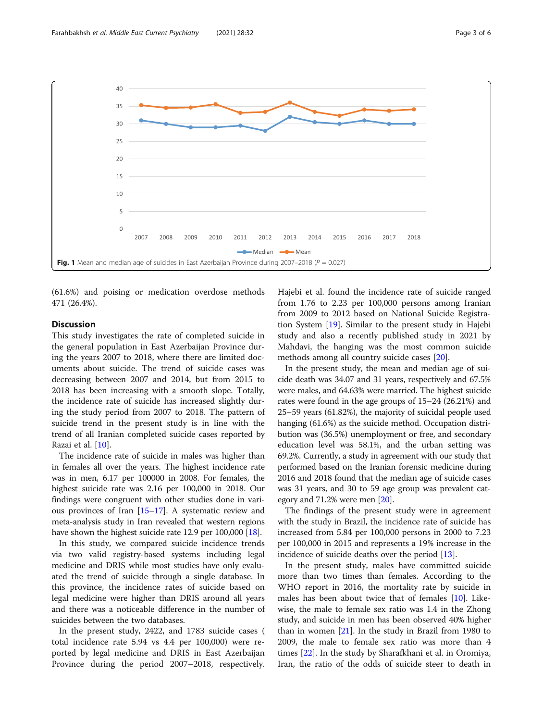<span id="page-2-0"></span>

(61.6%) and poising or medication overdose methods 471 (26.4%).

# **Discussion**

This study investigates the rate of completed suicide in the general population in East Azerbaijan Province during the years 2007 to 2018, where there are limited documents about suicide. The trend of suicide cases was decreasing between 2007 and 2014, but from 2015 to 2018 has been increasing with a smooth slope. Totally, the incidence rate of suicide has increased slightly during the study period from 2007 to 2018. The pattern of suicide trend in the present study is in line with the trend of all Iranian completed suicide cases reported by Razai et al. [\[10\]](#page-5-0).

The incidence rate of suicide in males was higher than in females all over the years. The highest incidence rate was in men, 6.17 per 100000 in 2008. For females, the highest suicide rate was 2.16 per 100,000 in 2018. Our findings were congruent with other studies done in various provinces of Iran [[15](#page-5-0)–[17\]](#page-5-0). A systematic review and meta-analysis study in Iran revealed that western regions have shown the highest suicide rate 12.9 per 100,000 [\[18](#page-5-0)].

In this study, we compared suicide incidence trends via two valid registry-based systems including legal medicine and DRIS while most studies have only evaluated the trend of suicide through a single database. In this province, the incidence rates of suicide based on legal medicine were higher than DRIS around all years and there was a noticeable difference in the number of suicides between the two databases.

In the present study, 2422, and 1783 suicide cases ( total incidence rate 5.94 vs 4.4 per 100,000) were reported by legal medicine and DRIS in East Azerbaijan Province during the period 2007–2018, respectively. Hajebi et al. found the incidence rate of suicide ranged from 1.76 to 2.23 per 100,000 persons among Iranian from 2009 to 2012 based on National Suicide Registration System [[19](#page-5-0)]. Similar to the present study in Hajebi study and also a recently published study in 2021 by Mahdavi, the hanging was the most common suicide methods among all country suicide cases [\[20](#page-5-0)].

In the present study, the mean and median age of suicide death was 34.07 and 31 years, respectively and 67.5% were males, and 64.63% were married. The highest suicide rates were found in the age groups of 15–24 (26.21%) and 25–59 years (61.82%), the majority of suicidal people used hanging (61.6%) as the suicide method. Occupation distribution was (36.5%) unemployment or free, and secondary education level was 58.1%, and the urban setting was 69.2%. Currently, a study in agreement with our study that performed based on the Iranian forensic medicine during 2016 and 2018 found that the median age of suicide cases was 31 years, and 30 to 59 age group was prevalent category and 71.2% were men [[20](#page-5-0)].

The findings of the present study were in agreement with the study in Brazil, the incidence rate of suicide has increased from 5.84 per 100,000 persons in 2000 to 7.23 per 100,000 in 2015 and represents a 19% increase in the incidence of suicide deaths over the period [\[13](#page-5-0)].

In the present study, males have committed suicide more than two times than females. According to the WHO report in 2016, the mortality rate by suicide in males has been about twice that of females [\[10\]](#page-5-0). Likewise, the male to female sex ratio was 1.4 in the Zhong study, and suicide in men has been observed 40% higher than in women [\[21\]](#page-5-0). In the study in Brazil from 1980 to 2009, the male to female sex ratio was more than 4 times [[22\]](#page-5-0). In the study by Sharafkhani et al. in Oromiya, Iran, the ratio of the odds of suicide steer to death in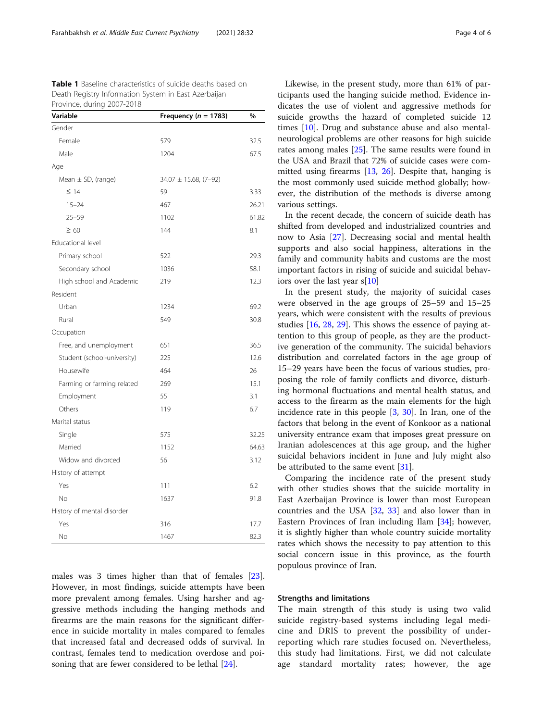<span id="page-3-0"></span>

| <b>Table 1</b> Baseline characteristics of suicide deaths based on |
|--------------------------------------------------------------------|
| Death Registry Information System in East Azerbaijan               |
| Province, during 2007-2018                                         |

| Variable                    | Frequency ( $n = 1783$ )   | %     |
|-----------------------------|----------------------------|-------|
| Gender                      |                            |       |
| Female                      | 579                        | 32.5  |
| Male                        | 1204                       | 67.5  |
| Age                         |                            |       |
| Mean $\pm$ SD, (range)      | $34.07 \pm 15.68$ , (7-92) |       |
| $\leq$ 14                   | 59                         | 3.33  |
| $15 - 24$                   | 467                        | 26.21 |
| $25 - 59$                   | 1102                       | 61.82 |
| $\geq 60$                   | 144                        | 8.1   |
| Educational level           |                            |       |
| Primary school              | 522                        | 29.3  |
| Secondary school            | 1036                       | 58.1  |
| High school and Academic    | 219                        | 12.3  |
| Resident                    |                            |       |
| Urban                       | 1234                       | 69.2  |
| Rural                       | 549                        | 30.8  |
| Occupation                  |                            |       |
| Free, and unemployment      | 651                        | 36.5  |
| Student (school-university) | 225                        | 12.6  |
| Housewife                   | 464                        | 26    |
| Farming or farming related  | 269                        | 15.1  |
| Employment                  | 55                         | 3.1   |
| Others                      | 119                        | 6.7   |
| Marital status              |                            |       |
| Single                      | 575                        | 32.25 |
| Married                     | 1152                       | 64.63 |
| Widow and divorced          | 56                         | 3.12  |
| History of attempt          |                            |       |
| Yes                         | 111                        | 6.2   |
| <b>No</b>                   | 1637                       | 91.8  |
| History of mental disorder  |                            |       |
| Yes                         | 316                        | 17.7  |
| No                          | 1467                       | 82.3  |

males was 3 times higher than that of females [\[23](#page-5-0)]. However, in most findings, suicide attempts have been more prevalent among females. Using harsher and aggressive methods including the hanging methods and firearms are the main reasons for the significant difference in suicide mortality in males compared to females that increased fatal and decreased odds of survival. In contrast, females tend to medication overdose and poisoning that are fewer considered to be lethal [\[24](#page-5-0)].

Likewise, in the present study, more than 61% of participants used the hanging suicide method. Evidence indicates the use of violent and aggressive methods for suicide growths the hazard of completed suicide 12 times [\[10\]](#page-5-0). Drug and substance abuse and also mentalneurological problems are other reasons for high suicide rates among males [\[25](#page-5-0)]. The same results were found in the USA and Brazil that 72% of suicide cases were committed using firearms [[13](#page-5-0), [26\]](#page-5-0). Despite that, hanging is the most commonly used suicide method globally; however, the distribution of the methods is diverse among various settings.

In the recent decade, the concern of suicide death has shifted from developed and industrialized countries and now to Asia [[27\]](#page-5-0). Decreasing social and mental health supports and also social happiness, alterations in the family and community habits and customs are the most important factors in rising of suicide and suicidal behaviors over the last year s[[10\]](#page-5-0)

In the present study, the majority of suicidal cases were observed in the age groups of 25–59 and 15–25 years, which were consistent with the results of previous studies [\[16](#page-5-0), [28](#page-5-0), [29](#page-5-0)]. This shows the essence of paying attention to this group of people, as they are the productive generation of the community. The suicidal behaviors distribution and correlated factors in the age group of 15–29 years have been the focus of various studies, proposing the role of family conflicts and divorce, disturbing hormonal fluctuations and mental health status, and access to the firearm as the main elements for the high incidence rate in this people [[3,](#page-5-0) [30](#page-5-0)]. In Iran, one of the factors that belong in the event of Konkoor as a national university entrance exam that imposes great pressure on Iranian adolescences at this age group, and the higher suicidal behaviors incident in June and July might also be attributed to the same event [\[31\]](#page-5-0).

Comparing the incidence rate of the present study with other studies shows that the suicide mortality in East Azerbaijan Province is lower than most European countries and the USA [\[32](#page-5-0), [33](#page-5-0)] and also lower than in Eastern Provinces of Iran including Ilam [[34\]](#page-5-0); however, it is slightly higher than whole country suicide mortality rates which shows the necessity to pay attention to this social concern issue in this province, as the fourth populous province of Iran.

#### Strengths and limitations

The main strength of this study is using two valid suicide registry-based systems including legal medicine and DRIS to prevent the possibility of underreporting which rare studies focused on. Nevertheless, this study had limitations. First, we did not calculate age standard mortality rates; however, the age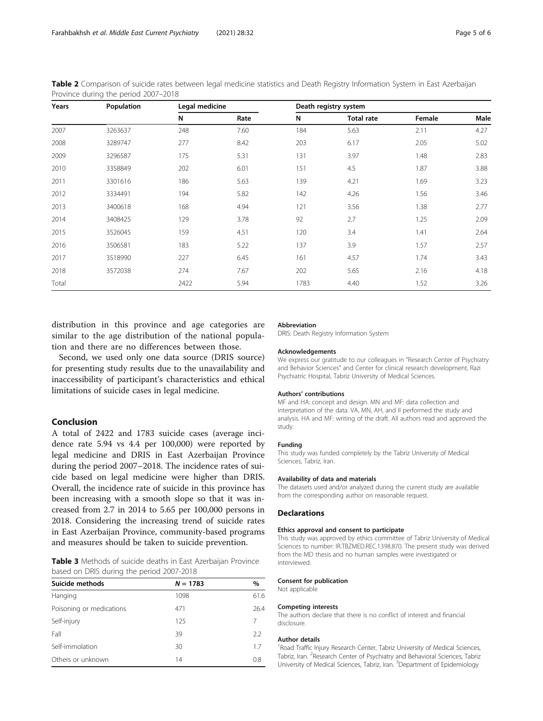<span id="page-4-0"></span>Table 2 Comparison of suicide rates between legal medicine statistics and Death Registry Information System in East Azerbaijan Province during the period 2007–2018

| Years | Population | Legal medicine |      | Death registry system |                   |        |      |
|-------|------------|----------------|------|-----------------------|-------------------|--------|------|
|       |            | Ν              | Rate | Ν                     | <b>Total rate</b> | Female | Male |
| 2007  | 3263637    | 248            | 7.60 | 184                   | 5.63              | 2.11   | 4.27 |
| 2008  | 3289747    | 277            | 8.42 | 203                   | 6.17              | 2.05   | 5.02 |
| 2009  | 3296587    | 175            | 5.31 | 131                   | 3.97              | 1.48   | 2.83 |
| 2010  | 3358849    | 202            | 6.01 | 151                   | 4.5               | 1.87   | 3.88 |
| 2011  | 3301616    | 186            | 5.63 | 139                   | 4.21              | 1.69   | 3.23 |
| 2012  | 3334491    | 194            | 5.82 | 142                   | 4.26              | 1.56   | 3.46 |
| 2013  | 3400618    | 168            | 4.94 | 121                   | 3.56              | 1.38   | 2.77 |
| 2014  | 3408425    | 129            | 3.78 | 92                    | 2.7               | 1.25   | 2.09 |
| 2015  | 3526045    | 159            | 4.51 | 120                   | 3.4               | 1.41   | 2.64 |
| 2016  | 3506581    | 183            | 5.22 | 137                   | 3.9               | 1.57   | 2.57 |
| 2017  | 3518990    | 227            | 6.45 | 161                   | 4.57              | 1.74   | 3.43 |
| 2018  | 3572038    | 274            | 7.67 | 202                   | 5.65              | 2.16   | 4.18 |
| Total |            | 2422           | 5.94 | 1783                  | 4.40              | 1.52   | 3.26 |

distribution in this province and age categories are similar to the age distribution of the national population and there are no differences between those.

Second, we used only one data source (DRIS source) for presenting study results due to the unavailability and inaccessibility of participant's characteristics and ethical limitations of suicide cases in legal medicine.

# Conclusion

A total of 2422 and 1783 suicide cases (average incidence rate 5.94 vs 4.4 per 100,000) were reported by legal medicine and DRIS in East Azerbaijan Province during the period 2007–2018. The incidence rates of suicide based on legal medicine were higher than DRIS. Overall, the incidence rate of suicide in this province has been increasing with a smooth slope so that it was increased from 2.7 in 2014 to 5.65 per 100,000 persons in 2018. Considering the increasing trend of suicide rates in East Azerbaijan Province, community-based programs and measures should be taken to suicide prevention.

Table 3 Methods of suicide deaths in East Azerbaijan Province based on DRIS during the period 2007-2018

| Suicide methods          | $N = 1783$ | $\%$ |
|--------------------------|------------|------|
| Hanging                  | 1098       | 61.6 |
| Poisoning or medications | 471        | 26.4 |
| Self-injury              | 125        | 7    |
| Fall                     | 39         | 2.2  |
| Self-immolation          | 30         | 17   |
| Others or unknown        | 14         | 0.8  |

#### Abbreviation

DRIS: Death Registry Information System

#### Acknowledgements

We express our gratitude to our colleagues in "Research Center of Psychiatry and Behavior Sciences" and Center for clinical research development, Razi Psychiatric Hospital, Tabriz University of Medical Sciences.

#### Authors' contributions

MF and HA: concept and design. MN and MF: data collection and interpretation of the data. VA, MN, AH, and II performed the study and analysis. HA and MF: writing of the draft. All authors read and approved the study.

# Funding

This study was funded completely by the Tabriz University of Medical Sciences, Tabriz, Iran.

#### Availability of data and materials

The datasets used and/or analyzed during the current study are available from the corresponding author on reasonable request.

# Declarations

#### Ethics approval and consent to participate

This study was approved by ethics committee of Tabriz University of Medical Sciences to number: IR.TBZMED.REC.1398.870. The present study was derived from the MD thesis and no human samples were investigated or interviewed.

#### Consent for publication

Not applicable

#### Competing interests

The authors declare that there is no conflict of interest and financial disclosure.

#### Author details

<sup>1</sup> Road Traffic Injury Research Center, Tabriz University of Medical Sciences, Tabriz, Iran. <sup>2</sup>Research Center of Psychiatry and Behavioral Sciences, Tabriz University of Medical Sciences, Tabriz, Iran. <sup>3</sup>Department of Epidemiology